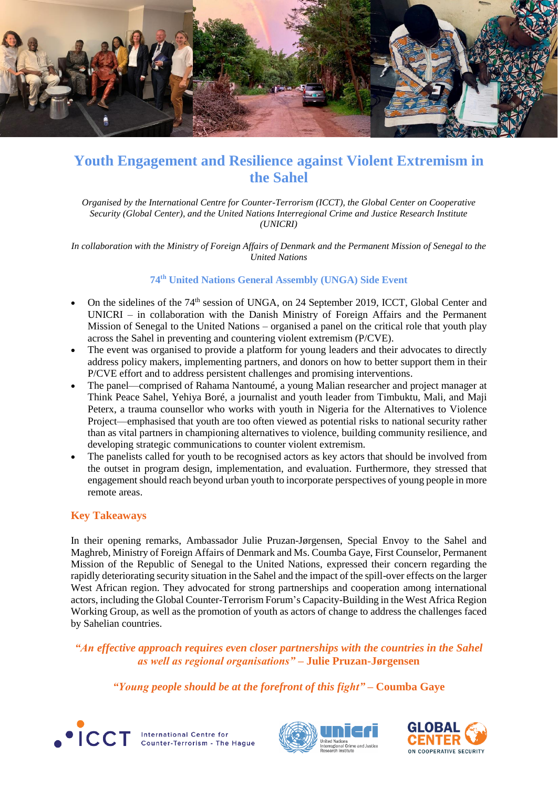

# **Youth Engagement and Resilience against Violent Extremism in the Sahel**

*Organised by the International Centre for Counter-Terrorism (ICCT), the Global Center on Cooperative Security (Global Center), and the United Nations Interregional Crime and Justice Research Institute (UNICRI)*

*In collaboration with the Ministry of Foreign Affairs of Denmark and the Permanent Mission of Senegal to the United Nations*

## **74th United Nations General Assembly (UNGA) Side Event**

- On the sidelines of the 74<sup>th</sup> session of UNGA, on 24 September 2019, ICCT, Global Center and UNICRI – in collaboration with the Danish Ministry of Foreign Affairs and the Permanent Mission of Senegal to the United Nations – organised a panel on the critical role that youth play across the Sahel in preventing and countering violent extremism (P/CVE).
- The event was organised to provide a platform for young leaders and their advocates to directly address policy makers, implementing partners, and donors on how to better support them in their P/CVE effort and to address persistent challenges and promising interventions.
- The panel—comprised of Rahama Nantoumé, a young Malian researcher and project manager at Think Peace Sahel, Yehiya Boré, a journalist and youth leader from Timbuktu, Mali, and Maji Peterx, a trauma counsellor who works with youth in Nigeria for the Alternatives to Violence Project—emphasised that youth are too often viewed as potential risks to national security rather than as vital partners in championing alternatives to violence, building community resilience, and developing strategic communications to counter violent extremism.
- The panelists called for youth to be recognised actors as key actors that should be involved from the outset in program design, implementation, and evaluation. Furthermore, they stressed that engagement should reach beyond urban youth to incorporate perspectives of young people in more remote areas.

### **Key Takeaways**

In their opening remarks, Ambassador Julie Pruzan-Jørgensen, Special Envoy to the Sahel and Maghreb, Ministry of Foreign Affairs of Denmark and Ms. Coumba Gaye, First Counselor, Permanent Mission of the Republic of Senegal to the United Nations, expressed their concern regarding the rapidly deteriorating security situation in the Sahel and the impact of the spill-over effects on the larger West African region. They advocated for strong partnerships and cooperation among international actors, including the Global Counter-Terrorism Forum's Capacity-Building in the West Africa Region Working Group, as well as the promotion of youth as actors of change to address the challenges faced by Sahelian countries.

*"An effective approach requires even closer partnerships with the countries in the Sahel as well as regional organisations" –* **Julie Pruzan-Jørgensen**

*"Young people should be at the forefront of this fight" –* **Coumba Gaye**